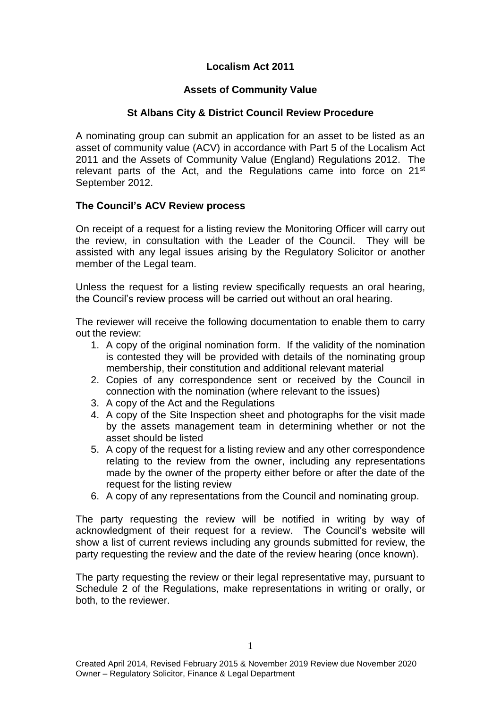## **Localism Act 2011**

## **Assets of Community Value**

## **St Albans City & District Council Review Procedure**

A nominating group can submit an application for an asset to be listed as an asset of community value (ACV) in accordance with Part 5 of the Localism Act 2011 and the Assets of Community Value (England) Regulations 2012. The relevant parts of the Act, and the Regulations came into force on 21<sup>st</sup> September 2012.

## **The Council's ACV Review process**

On receipt of a request for a listing review the Monitoring Officer will carry out the review, in consultation with the Leader of the Council. They will be assisted with any legal issues arising by the Regulatory Solicitor or another member of the Legal team.

Unless the request for a listing review specifically requests an oral hearing, the Council's review process will be carried out without an oral hearing.

The reviewer will receive the following documentation to enable them to carry out the review:

- 1. A copy of the original nomination form. If the validity of the nomination is contested they will be provided with details of the nominating group membership, their constitution and additional relevant material
- 2. Copies of any correspondence sent or received by the Council in connection with the nomination (where relevant to the issues)
- 3. A copy of the Act and the Regulations
- 4. A copy of the Site Inspection sheet and photographs for the visit made by the assets management team in determining whether or not the asset should be listed
- 5. A copy of the request for a listing review and any other correspondence relating to the review from the owner, including any representations made by the owner of the property either before or after the date of the request for the listing review
- 6. A copy of any representations from the Council and nominating group.

The party requesting the review will be notified in writing by way of acknowledgment of their request for a review. The Council's website will show a list of current reviews including any grounds submitted for review, the party requesting the review and the date of the review hearing (once known).

The party requesting the review or their legal representative may, pursuant to Schedule 2 of the Regulations, make representations in writing or orally, or both, to the reviewer.